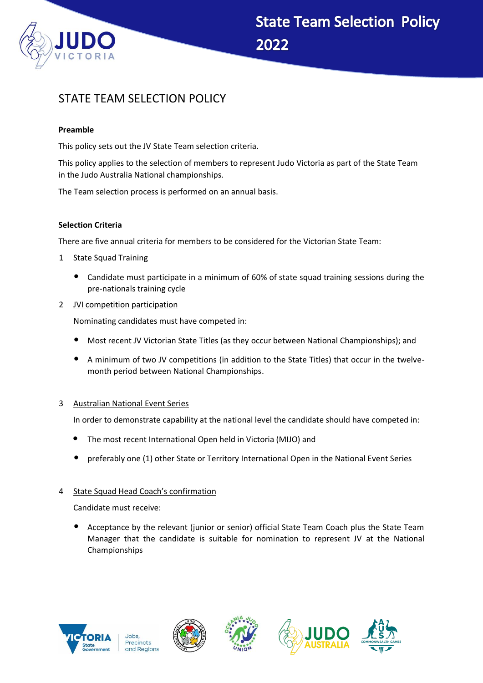

# STATE TEAM SELECTION POLICY

## **Preamble**

This policy sets out the JV State Team selection criteria.

This policy applies to the selection of members to represent Judo Victoria as part of the State Team in the Judo Australia National championships.

The Team selection process is performed on an annual basis.

#### **Selection Criteria**

There are five annual criteria for members to be considered for the Victorian State Team:

- 1 State Squad Training
	- Candidate must participate in a minimum of 60% of state squad training sessions during the pre-nationals training cycle
- 2 JVI competition participation

Nominating candidates must have competed in:

- Most recent JV Victorian State Titles (as they occur between National Championships); and
- A minimum of two JV competitions (in addition to the State Titles) that occur in the twelvemonth period between National Championships.

## 3 Australian National Event Series

In order to demonstrate capability at the national level the candidate should have competed in:

- The most recent International Open held in Victoria (MIJO) and
- preferably one (1) other State or Territory International Open in the National Event Series

## 4 State Squad Head Coach's confirmation

Candidate must receive:

• Acceptance by the relevant (junior or senior) official State Team Coach plus the State Team Manager that the candidate is suitable for nomination to represent JV at the National Championships